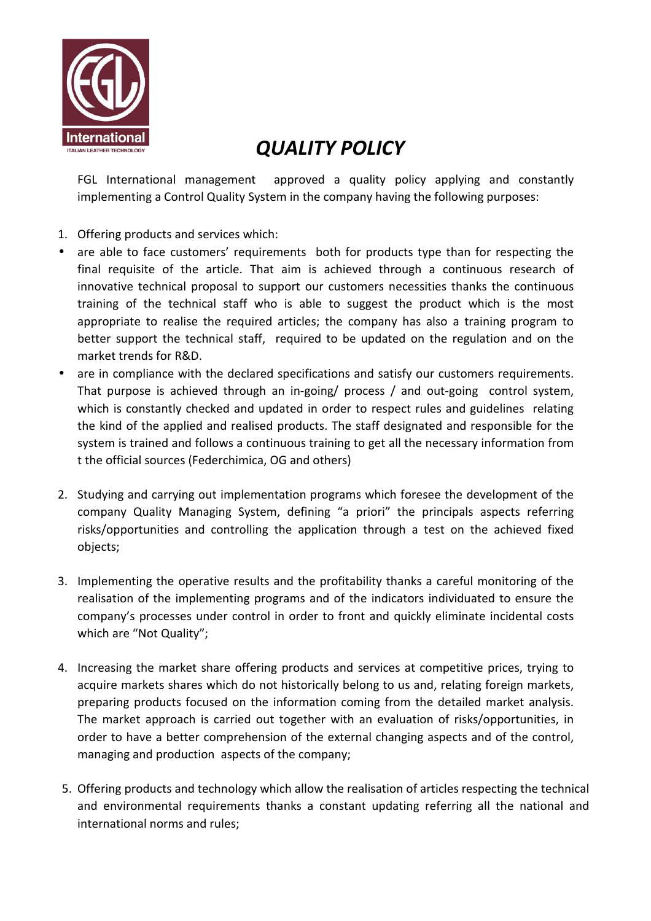

## *QUALITY POLICY*

FGL International management approved a quality policy applying and constantly implementing a Control Quality System in the company having the following purposes:

- 1. Offering products and services which:
- are able to face customers' requirements both for products type than for respecting the final requisite of the article. That aim is achieved through a continuous research of innovative technical proposal to support our customers necessities thanks the continuous training of the technical staff who is able to suggest the product which is the most appropriate to realise the required articles; the company has also a training program to better support the technical staff, required to be updated on the regulation and on the market trends for R&D.
- are in compliance with the declared specifications and satisfy our customers requirements. That purpose is achieved through an in-going/ process / and out-going control system, which is constantly checked and updated in order to respect rules and guidelines relating the kind of the applied and realised products. The staff designated and responsible for the system is trained and follows a continuous training to get all the necessary information from t the official sources (Federchimica, OG and others)
- 2. Studying and carrying out implementation programs which foresee the development of the company Quality Managing System, defining "a priori" the principals aspects referring risks/opportunities and controlling the application through a test on the achieved fixed objects;
- 3. Implementing the operative results and the profitability thanks a careful monitoring of the realisation of the implementing programs and of the indicators individuated to ensure the company's processes under control in order to front and quickly eliminate incidental costs which are "Not Quality";
- 4. Increasing the market share offering products and services at competitive prices, trying to acquire markets shares which do not historically belong to us and, relating foreign markets, preparing products focused on the information coming from the detailed market analysis. The market approach is carried out together with an evaluation of risks/opportunities, in order to have a better comprehension of the external changing aspects and of the control, managing and production aspects of the company;
- 5. Offering products and technology which allow the realisation of articles respecting the technical and environmental requirements thanks a constant updating referring all the national and international norms and rules;